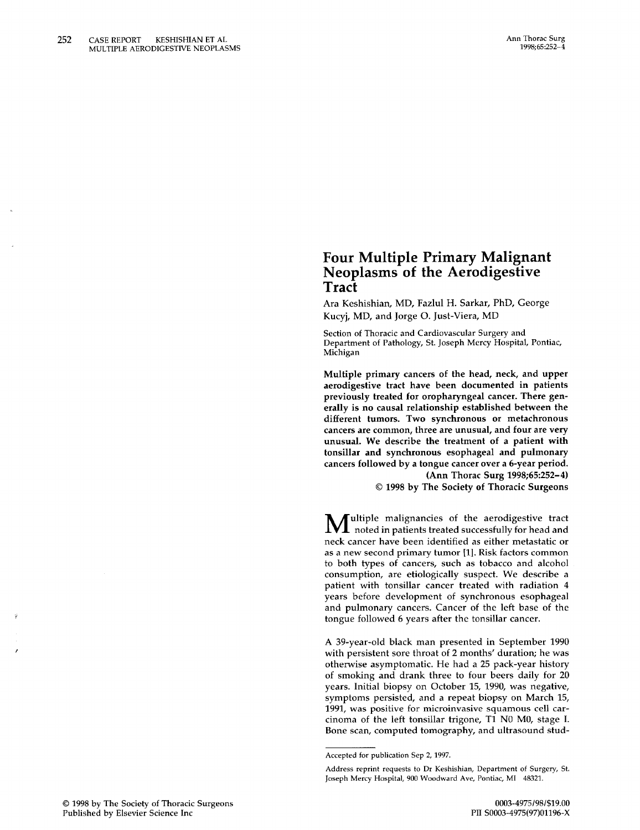# **Four Multiple Primary Malignant Neoplasms of the Aerodigestive Tract**

Ara Keshishian, MD, Fazlul H. Sarkar, PhD, George Kucyj, MD, and Jorge O. Just-Viera, MD

Section of Thoracic and Cardiovascular Surgery and Department of Pathology, st. Joseph Mercy Hospital, Pontiac, Michigan

Multiple primary cancers of the head, neck, and upper aerodigestive tract have been documented in patients previously treated for oropharyngeal cancer. There generally is no causal relationship established between the different tumors. Two synchronous or metachronous cancers are common, three are unusual, and four are very unusual. We describe the treatment of a patient with tonsillar and synchronous esophageal and pulmonary cancers followed by a tongue cancer over a 6-year period. (Ann Thorac Surg 1998;65:252-4)

© 1998 by The Society of Thoracic Surgeons

M ultiple malignancies of the aerodigestive tract noted in patients treated successfully for head and neck cancer have been identified as either metastatic or as a new second primary tumor [1]. Risk factors common to both types of cancers, such as tobacco and alcohol consumption, are etiologically suspect. We describe a patient with tonsillar cancer treated with radiation 4 years before development of synchronous esophageal and pulmonary cancers. Cancer of the left base of the tongue followed 6 years after the tonsillar cancer.

A 39-year-old black man presented in September 1990 with persistent sore throat of 2 months' duration; he was otherwise asymptomatic. He had a 25 pack-year history of smoking and drank three to four beers daily for 20 years. Initial biopsy on October 15, 1990, was negative, symptoms persisted, and a repeat biopsy on March 15, 1991, was positive for microinvasive squamous cell carcinoma of the left tonsillar trigone, T1 NO MO, stage I. Bone scan, computed tomography, and ultrasound stud-

Accepted for publication Sep 2, 1997.

Address reprint requests to Dr Keshishian, Department of Surgery, St. Joseph Mercy Hospital, 900 Woodward Ave, Pontiac, MI 48321.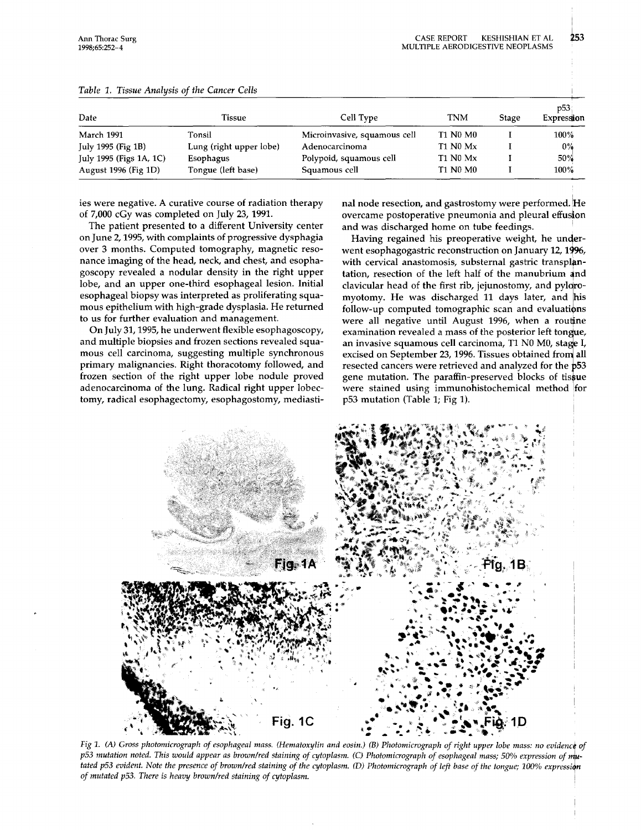253

| Date                    | Tissue                  | Cell Type                    | TNM             | <b>Stage</b> | p53.<br>Expression |
|-------------------------|-------------------------|------------------------------|-----------------|--------------|--------------------|
| <b>March 1991</b>       | Tonsil                  | Microinvasive, squamous cell | <b>T1 N0 M0</b> |              | 100%               |
| July 1995 (Fig $1B$ )   | Lung (right upper lobe) | Adenocarcinoma               | T1 N0 Mx        |              | $0\%$              |
| July 1995 (Figs 1A, 1C) | <b>Esophagus</b>        | Polypoid, squamous cell      | T1 N0 Mx        |              | 50%                |
| August 1996 (Fig 1D)    | Tongue (left base)      | Squamous cell                | <b>T1 N0 M0</b> |              | $100\%$            |

### *Table* 1. *Tissue Analysis of the Cancer Cells*

ies were negative. A curative course of radiation therapy of 7,000 cGy was completed on July 23, 1991.

The patient presented to a different University center on June 2, 1995, with complaints of progressive dysphagia over 3 months. Computed tomography, magnetic resonance imaging of the head, neck, and chest, and esophagoscopy revealed a nodular density in the right upper lobe, and an upper one-third esophageal lesion. Initial esophageal biopsy was interpreted as proliferating squamous epithelium with high-grade dysplasia. He returned to us for further evaluation and management.

On July 31, 1995, he underwent flexible esophagoscopy, and multiple biopsies and frozen sections revealed squamous cell carcinoma, suggesting multiple synchronous primary malignancies. Right thoracotomy followed, and frozen section of the right upper lobe nodule proved adenocarcinoma of the lung. Radical right upper lobectomy, radical esophagectomy, esophagostomy, mediastinal node resection, and gastrostomy were performed. He overcame postoperative pneumonia and pleural effusion and was discharged home on tube feedings. .

Having regained his preoperative weight, he underwent esophagogastric reconstruction on January 12, 1996, with cervical anastomosis, substernal gastric transplantation, resection of the left half of the manubrium 4nd clavicular head of the first rib, jejunostomy, and pylqromyotomy. He was discharged 11 days later, and his follow-up computed tomographic scan and evaluations were all negative until August 1996, when a routine examination revealed a mass of the posterior left tongue, an invasive squamous cell carcinoma, T1 N0 M0, stage I, excised on September 23, 1996. Tissues obtained from all resected cancers were retrieved and analyzed for the  $p53$ gene mutation. The paraffin-preserved blocks of tissue were stained using immunohistochemical method for p53 mutation (Table 1; Fig 1).



*Fig 1. (A) Gross photomicrograph of esophageal mass. (Hematoxylin and eosin.) (B) Photomicrograph of right upper lobe mass: no evidence of p53 mutation noted. This would appear as brown/red staining of cytoplasm. (C) Photomicrograph of esophageal mass; 50% expression of mutated p53 evident. Note the presence of brown/red staining of the cytoplasm. (D) Photomicrograph of left base of the tongue; 100% expression of mutated p53. There* is *heavy brown/red staining of cytoplasm.*